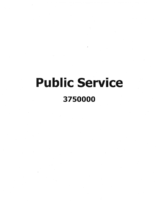# Public Service 3750000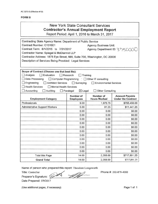#### **FORM B**

## New York State Consultant Services **Contractor's Annual Employment Report**

Report Period: April 1, 2016 to March 31, 2017

| Contracting State Agency Name: Department of Public Service              |                                       |                                                |                                                    |
|--------------------------------------------------------------------------|---------------------------------------|------------------------------------------------|----------------------------------------------------|
| Contract Number: C151601                                                 |                                       | <b>Agency Business Unit:</b>                   |                                                    |
| Contract Term: 8/1/2015 to 7/31/2017                                     |                                       | Agency Department ID: 3 75000                  |                                                    |
| Contractor Name: Spiegel & McDiarmid LLP                                 |                                       |                                                |                                                    |
| Contractor Address: 1875 Eye Street, NW, Suite 700, Washington, DC 20006 |                                       |                                                |                                                    |
| Description of Services Being Provided: Legal Services                   |                                       |                                                |                                                    |
|                                                                          |                                       |                                                |                                                    |
|                                                                          |                                       |                                                |                                                    |
| Scope of Contract (Choose one that best fits):                           |                                       |                                                |                                                    |
| $\Box$ Analysis<br>$\Box$ Evaluation                                     | Research<br>$\Box$ Training           |                                                |                                                    |
| Data Processing                                                          |                                       | □ Computer Programming ○ ○ Other IT consulting |                                                    |
| $\Box$ Engineering<br><b>Architect Services</b>                          | $\Box$ Surveying                      | Environmental Services                         |                                                    |
| <b>Health Services</b><br>Mental Health Services                         |                                       |                                                |                                                    |
| Accounting<br>Auditing                                                   | $\boxtimes$ Legal<br>$\Box$ Paralegal | <b>Other Consulting</b>                        |                                                    |
| <b>Employment Category</b>                                               | Number of<br><b>Employees</b>         | Number of<br><b>Hours Worked</b>               | <b>Amount Payable</b><br><b>Under the Contract</b> |
| Professionals                                                            | 9.00                                  | 1,976.75                                       | \$706,450.00                                       |
| <b>Administrative Support Workers</b>                                    | 5.00                                  | 91.25                                          | \$11,441.25                                        |
|                                                                          | 0.00                                  | 0.00                                           | \$0.00                                             |
|                                                                          | 0.00                                  | 0.00                                           | \$0.00                                             |
|                                                                          | 0.00                                  | 0.00                                           | \$0.00                                             |
|                                                                          | 0.00                                  | 0.00                                           | \$0.00                                             |
|                                                                          | 0.00                                  | 0.00                                           | \$0.00                                             |
|                                                                          | 0.00                                  | 0.00                                           | \$0.00                                             |
|                                                                          | 0.00                                  | 0.00                                           | \$0.00                                             |
|                                                                          | 0.00                                  | 0.00                                           | \$0.00                                             |
|                                                                          | 0.00                                  | 0.00                                           | \$0.00                                             |
|                                                                          | 0.00                                  | 0.00                                           | \$0.00                                             |
|                                                                          | 0.00                                  | 0.00                                           | \$0.00                                             |
| <b>Total this Page</b>                                                   | 14.00                                 | 2,068.00                                       | \$717,891.25                                       |
| <b>Grand Total</b>                                                       | 14.00                                 | 2,068.00                                       | \$717,891.25                                       |

Name of person who prepared this report: Theodore Longsworth

Title: Controller

Preparer's Signature:  $\frac{4}{5}$ 

Date Prepared: *5/9/2017*

Phone #: 202-879-4000

(Use additional pages, if necessary) example 2 and the Page 1 of 1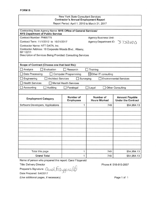#### New York State Consultant Services **Contractor's Annual Employment Report** Report Period: April 1, 2016 to March 31, 2017

| Contracting State Agency Name: NYS Office of General Services/<br><b>NYS Department of Public Service</b> |                               |                                  |                                                    |
|-----------------------------------------------------------------------------------------------------------|-------------------------------|----------------------------------|----------------------------------------------------|
| Contract Number: PH65775                                                                                  |                               | <b>Agency Business Unit:</b>     |                                                    |
| Contract Term: 11/1/2012 to 10/31/2017                                                                    |                               | Agency Department ID:            | 3750000                                            |
| Contractor Name: NTT DATA, Inc.                                                                           |                               |                                  |                                                    |
| Contractor Address: 18 Corporate Woods Blvd., Albany,                                                     |                               |                                  |                                                    |
| NY 12211<br>Description of Services Being Provided: Consulting Services                                   |                               |                                  |                                                    |
|                                                                                                           |                               |                                  |                                                    |
|                                                                                                           |                               |                                  |                                                    |
| Scope of Contract (Choose one that best fits):                                                            |                               |                                  |                                                    |
| Analysis<br>Evaluation                                                                                    | Research                      | Training                         |                                                    |
| Data Processing<br><b>Computer Programming</b><br>$\boxtimes$ Other IT consulting                         |                               |                                  |                                                    |
| Engineering<br><b>Architect Services</b>                                                                  | Surveying                     |                                  | <b>Environmental Services</b>                      |
| <b>Health Services</b>                                                                                    | <b>Mental Health Services</b> |                                  |                                                    |
| Accounting<br>Auditing                                                                                    | Paralegal                     | Legal                            | <b>Other Consulting</b>                            |
|                                                                                                           |                               |                                  |                                                    |
| <b>Employment Category</b>                                                                                | Number of<br><b>Employees</b> | Number of<br><b>Hours Worked</b> | <b>Amount Payable</b><br><b>Under the Contract</b> |
| Software Developers, Applications                                                                         | 1                             | 749                              | \$54,954.13                                        |
|                                                                                                           |                               |                                  |                                                    |
|                                                                                                           |                               |                                  |                                                    |
|                                                                                                           |                               |                                  |                                                    |
|                                                                                                           |                               |                                  |                                                    |
|                                                                                                           |                               |                                  |                                                    |
|                                                                                                           |                               |                                  |                                                    |
|                                                                                                           |                               |                                  |                                                    |
|                                                                                                           |                               |                                  |                                                    |
|                                                                                                           |                               |                                  |                                                    |
|                                                                                                           |                               |                                  |                                                    |
| Total this page                                                                                           | 1                             | 749                              | \$54,954.13                                        |
| <b>Grand Total</b>                                                                                        | 1                             | 749                              | \$54,954.13                                        |

Name of person who prepared this report: Carol Fitzgerald

Title: Delivery Director

Preparer's Signature: Carol Fitzgerald

Date Prepared: *5/4/2017*

(Use additional pages, if necessary)

Phone #: 518-815-2057

Page 1 of 1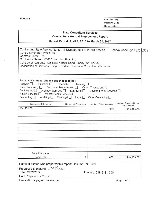$\alpha$ 

FORM B OSC Use Only: Reporting Code: Category Code:

### State Consultant Services Contractor's Annual Employment Report

Report Period: April 1, 2016 to March 31, 2017

| Contracting State Agency Name: ITS/Department of Public Service       | Agency Code: 3750000 |  |
|-----------------------------------------------------------------------|----------------------|--|
| Contract Number: PH65780                                              |                      |  |
| Contract Term: to                                                     |                      |  |
| Contractor Name: MVP Consulting Plus, Inc.                            |                      |  |
| Contractor Address: 435 New Karner Road Albany, NY 12205              |                      |  |
| Description of Services Being Provided: Computer Consulting (Various) |                      |  |
|                                                                       |                      |  |

| Scope of Contract (Choose one that best fits):<br>Analysis Evaluation Research Training<br>Data Processing $\Box$<br>Engineering   Architect Services   Surveying  <br>Health Services <sub>[1]</sub><br>Mental Health Services [<br>Accounting $\square$ | Computer Programming $\Box$ Other IT consulting X<br>Auditing Paralegal Legal | Environmental Services<br>Other Consulting $\square$ |                                      |
|-----------------------------------------------------------------------------------------------------------------------------------------------------------------------------------------------------------------------------------------------------------|-------------------------------------------------------------------------------|------------------------------------------------------|--------------------------------------|
| <b>Employment Category</b>                                                                                                                                                                                                                                | Number of Employees                                                           | Number of Hours Worked                               | Amount Payable Under<br>the Contract |
| 15-1131.00                                                                                                                                                                                                                                                |                                                                               | 675                                                  | \$49,659.75                          |
|                                                                                                                                                                                                                                                           |                                                                               |                                                      |                                      |
| Total this page                                                                                                                                                                                                                                           |                                                                               |                                                      |                                      |
| <b>Grand Total</b>                                                                                                                                                                                                                                        |                                                                               | 675                                                  | \$49,659.75                          |

| Name of person who prepared this report: Ilakumari N. Patel |                       |  |
|-------------------------------------------------------------|-----------------------|--|
| Preparer's Signature: EN Pater                              |                       |  |
| Title: CEO/CFO                                              | Phone #: 518-218-1700 |  |
| Date Prepared: 4/20/17                                      |                       |  |
|                                                             |                       |  |

Use additional pages if necessary) example 2 and 2 and 2 and 2 and 2 and 2 and 2 and 2 and 2 and 2 and 2 and 2 and 2 and 2 and 2 and 2 and 2 and 2 and 2 and 2 and 2 and 2 and 2 and 2 and 2 and 2 and 2 and 2 and 2 and 2 and